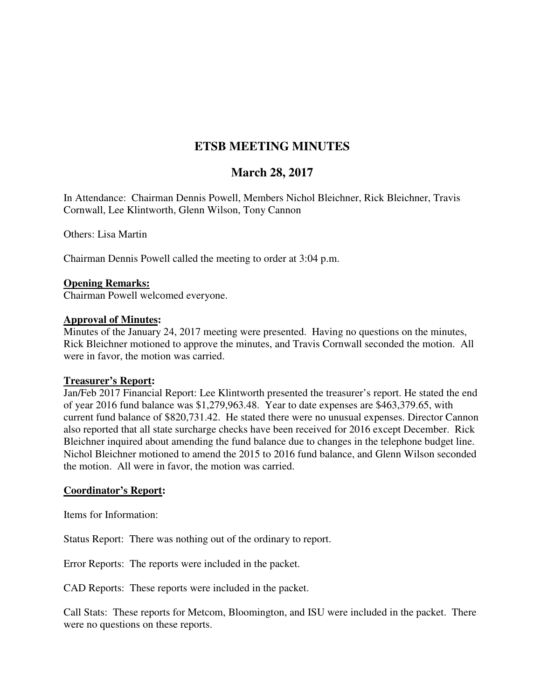# **ETSB MEETING MINUTES**

## **March 28, 2017**

In Attendance: Chairman Dennis Powell, Members Nichol Bleichner, Rick Bleichner, Travis Cornwall, Lee Klintworth, Glenn Wilson, Tony Cannon

Others: Lisa Martin

Chairman Dennis Powell called the meeting to order at 3:04 p.m.

#### **Opening Remarks:**

Chairman Powell welcomed everyone.

#### **Approval of Minutes:**

Minutes of the January 24, 2017 meeting were presented. Having no questions on the minutes, Rick Bleichner motioned to approve the minutes, and Travis Cornwall seconded the motion. All were in favor, the motion was carried.

#### **Treasurer's Report:**

Jan/Feb 2017 Financial Report: Lee Klintworth presented the treasurer's report. He stated the end of year 2016 fund balance was \$1,279,963.48. Year to date expenses are \$463,379.65, with current fund balance of \$820,731.42. He stated there were no unusual expenses. Director Cannon also reported that all state surcharge checks have been received for 2016 except December. Rick Bleichner inquired about amending the fund balance due to changes in the telephone budget line. Nichol Bleichner motioned to amend the 2015 to 2016 fund balance, and Glenn Wilson seconded the motion. All were in favor, the motion was carried.

### **Coordinator's Report:**

Items for Information:

Status Report: There was nothing out of the ordinary to report.

Error Reports: The reports were included in the packet.

CAD Reports: These reports were included in the packet.

Call Stats: These reports for Metcom, Bloomington, and ISU were included in the packet. There were no questions on these reports.